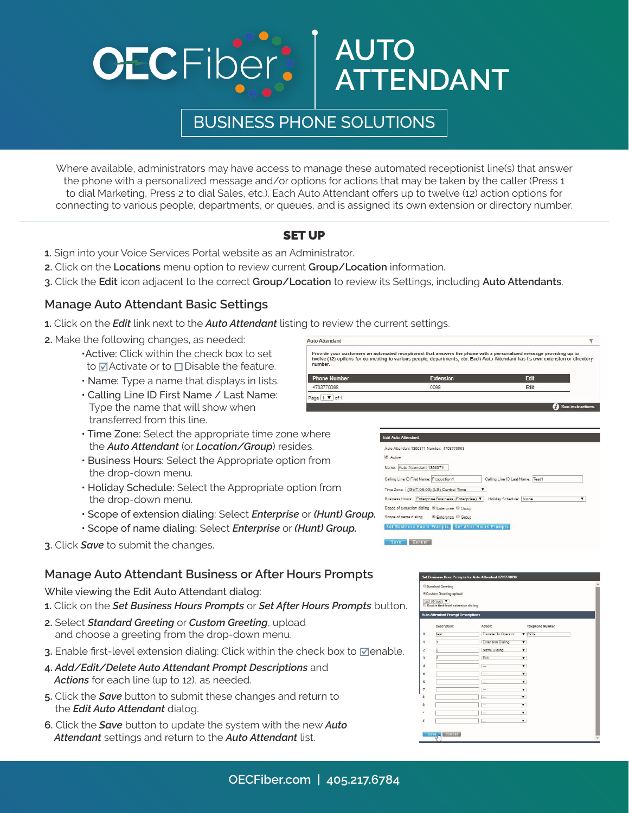# BUSINESS PHONE SOLUTIONS

**AUTO**

**ATTENDANT**

Where available, administrators may have access to manage these automated receptionist line(s) that answer the phone with a personalized message and/or options for actions that may be taken by the caller (Press 1 to dial Marketing, Press 2 to dial Sales, etc.). Each Auto Attendant offers up to twelve (12) action options for connecting to various people, departments, or queues, and is assigned its own extension or directory number.

## SET UP

- **1.** Sign into your Voice Services Portal website as an Administrator.
- **2.** Click on the **Locations** menu option to review current **Group/Location** information.
- **3.** Click the **Edit** icon adjacent to the correct **Group/Location** to review its Settings, including **Auto Attendants**.

## **Manage Auto Attendant Basic Settings**

- **1.** Click on the *Edit* link next to the *Auto Attendant* listing to review the current settings.
- **2.** Make the following changes, as needed:
	- •Active: Click within the check box to set to  $\Box$  Activate or to  $\Box$  Disable the feature.
	- Name: Type a name that displays in lists.
	- Calling Line ID First Name / Last Name: Type the name that will show when transferred from this line.
	- Time Zone: Select the appropriate time zone where the *Auto Attendant* (or *Location/Group*) resides.
	- Business Hours: Select the Appropriate option from the drop-down menu.
	- Holiday Schedule: Select the Appropriate option from the drop-down menu.
	- Scope of extension dialing: Select *Enterprise* or *(Hunt) Group.*
	- Scope of name dialing: Select *Enterprise* or *(Hunt) Group.*
- **3.** Click *Save* to submit the changes.

#### **Manage Auto Attendant Business or After Hours Prompts**

While viewing the Edit Auto Attendant dialog:

- **1.** Click on the *Set Business Hours Prompts* or *Set After Hours Prompts* button.
- **2.** Select *Standard Greeting* or *Custom Greeting*, upload and choose a greeting from the drop-down menu.
- **3.** Enable first-level extension dialing: Click within the check box to ⊠enable.
- **4.** *Add/Edit/Delete Auto Attendant Prompt Descriptions* and  *Actions* for each line (up to 12), as needed.
- **5.** Click the *Save* button to submit these changes and return to the *Edit Auto Attendant* dialog.
- **6.** Click the *Save* button to update the system with the new *Auto Attendant* settings and return to the *Auto Attendant* list.



| Name: Auto Attendant 1369371                          |   |                                  |   |
|-------------------------------------------------------|---|----------------------------------|---|
|                                                       |   |                                  |   |
| Calling Line ID First Name: Production1               |   | Calling Line ID Last Name: Test1 |   |
| Time Zone: (GMT-05:00) (US) Central Time              | ▼ |                                  |   |
| Business Hours: Enterprise Business (Enterprise) V    |   | Holiday Schedule: None           | ▼ |
| Scope of extension dialing @ Enterprise @ Group       |   |                                  |   |
| Scope of name dialing <sup>®</sup> Enterprise © Group |   |                                  |   |

|                | <sup>®</sup> Custom Greeting upload<br>test (Group) $\blacktriangledown$ |                          |                         |                  |  |
|----------------|--------------------------------------------------------------------------|--------------------------|-------------------------|------------------|--|
|                | Enable first-level extension dialing                                     |                          |                         |                  |  |
|                | <b>Auto Attendant Prompt Descriptions</b>                                |                          |                         |                  |  |
|                | Description:                                                             | Action:                  |                         | Telephone Number |  |
| $\theta$       | test                                                                     | Transfer To Operator     |                         | 979              |  |
| 1              | h                                                                        | <b>Extension Dialing</b> | $\blacktriangledown$    |                  |  |
| $\overline{z}$ | $\overline{2}$                                                           | Name Dialing             | $\overline{\mathbf{v}}$ |                  |  |
| 3              | 3                                                                        | Exit                     | $\overline{\mathbf{v}}$ |                  |  |
| $\ddot{a}$     |                                                                          |                          | $\overline{\mathbf{v}}$ |                  |  |
| 5              |                                                                          | $\sim$                   | $\overline{\mathbf{v}}$ |                  |  |
| 6              |                                                                          | ---                      | $\overline{\mathbf{v}}$ |                  |  |
| 7              |                                                                          | $\sim$                   | $\overline{\mathbf{v}}$ |                  |  |
| $\overline{8}$ |                                                                          | $\overline{\phantom{a}}$ | $\overline{\mathbf{v}}$ |                  |  |
| 9              |                                                                          |                          | $\overline{\mathbf{v}}$ |                  |  |
| ٠              |                                                                          | $\overline{\phantom{a}}$ | $\overline{\mathbf{v}}$ |                  |  |
| ž              |                                                                          |                          | $\overline{\mathbf{v}}$ |                  |  |